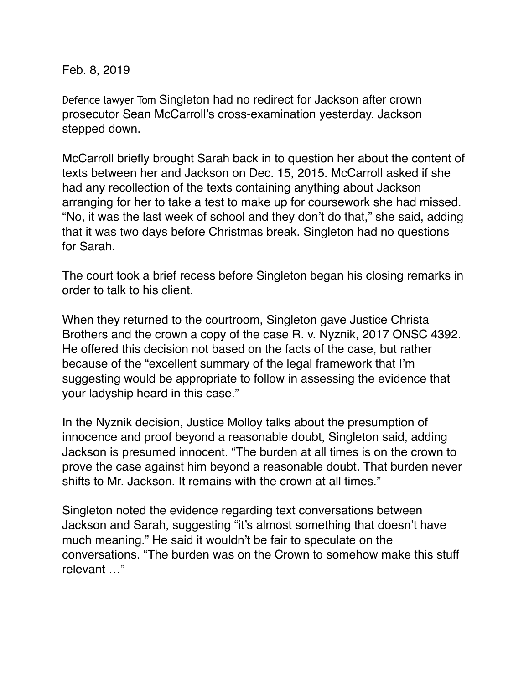Feb. 8, 2019

Defence lawyer Tom Singleton had no redirect for Jackson after crown prosecutor Sean McCarroll's cross-examination yesterday. Jackson stepped down.

McCarroll briefly brought Sarah back in to question her about the content of texts between her and Jackson on Dec. 15, 2015. McCarroll asked if she had any recollection of the texts containing anything about Jackson arranging for her to take a test to make up for coursework she had missed. "No, it was the last week of school and they don't do that," she said, adding that it was two days before Christmas break. Singleton had no questions for Sarah.

The court took a brief recess before Singleton began his closing remarks in order to talk to his client.

When they returned to the courtroom, Singleton gave Justice Christa Brothers and the crown a copy of the case R. v. Nyznik, 2017 ONSC 4392. He offered this decision not based on the facts of the case, but rather because of the "excellent summary of the legal framework that I'm suggesting would be appropriate to follow in assessing the evidence that your ladyship heard in this case."

In the Nyznik decision, Justice Molloy talks about the presumption of innocence and proof beyond a reasonable doubt, Singleton said, adding Jackson is presumed innocent. "The burden at all times is on the crown to prove the case against him beyond a reasonable doubt. That burden never shifts to Mr. Jackson. It remains with the crown at all times."

Singleton noted the evidence regarding text conversations between Jackson and Sarah, suggesting "it's almost something that doesn't have much meaning." He said it wouldn't be fair to speculate on the conversations. "The burden was on the Crown to somehow make this stuff relevant …"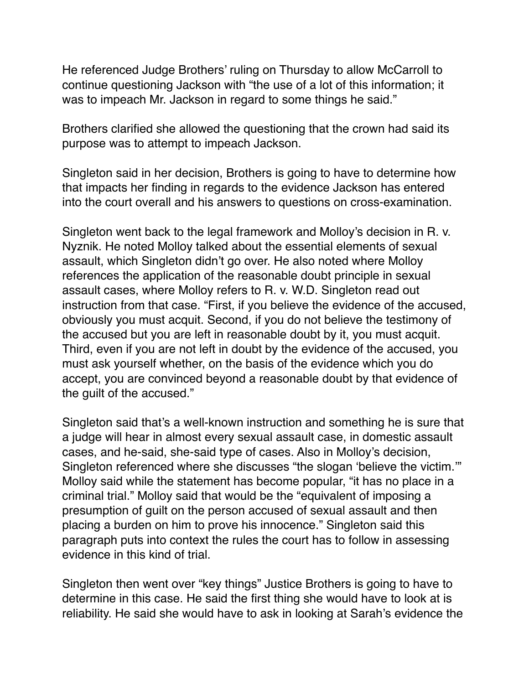He referenced Judge Brothers' ruling on Thursday to allow McCarroll to continue questioning Jackson with "the use of a lot of this information; it was to impeach Mr. Jackson in regard to some things he said."

Brothers clarified she allowed the questioning that the crown had said its purpose was to attempt to impeach Jackson.

Singleton said in her decision, Brothers is going to have to determine how that impacts her finding in regards to the evidence Jackson has entered into the court overall and his answers to questions on cross-examination.

Singleton went back to the legal framework and Molloy's decision in R. v. Nyznik. He noted Molloy talked about the essential elements of sexual assault, which Singleton didn't go over. He also noted where Molloy references the application of the reasonable doubt principle in sexual assault cases, where Molloy refers to R. v. W.D. Singleton read out instruction from that case. "First, if you believe the evidence of the accused, obviously you must acquit. Second, if you do not believe the testimony of the accused but you are left in reasonable doubt by it, you must acquit. Third, even if you are not left in doubt by the evidence of the accused, you must ask yourself whether, on the basis of the evidence which you do accept, you are convinced beyond a reasonable doubt by that evidence of the guilt of the accused."

Singleton said that's a well-known instruction and something he is sure that a judge will hear in almost every sexual assault case, in domestic assault cases, and he-said, she-said type of cases. Also in Molloy's decision, Singleton referenced where she discusses "the slogan 'believe the victim.'" Molloy said while the statement has become popular, "it has no place in a criminal trial." Molloy said that would be the "equivalent of imposing a presumption of guilt on the person accused of sexual assault and then placing a burden on him to prove his innocence." Singleton said this paragraph puts into context the rules the court has to follow in assessing evidence in this kind of trial.

Singleton then went over "key things" Justice Brothers is going to have to determine in this case. He said the first thing she would have to look at is reliability. He said she would have to ask in looking at Sarah's evidence the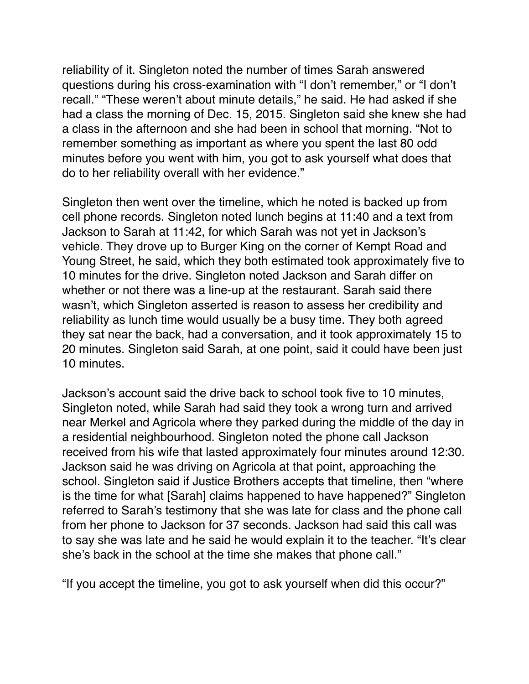reliability of it. Singleton noted the number of times Sarah answered questions during his cross-examination with "I don't remember," or "I don't recall." "These weren't about minute details," he said. He had asked if she had a class the morning of Dec. 15, 2015. Singleton said she knew she had a class in the afternoon and she had been in school that morning. "Not to remember something as important as where you spent the last 80 odd minutes before you went with him, you got to ask yourself what does that do to her reliability overall with her evidence."

Singleton then went over the timeline, which he noted is backed up from cell phone records. Singleton noted lunch begins at 11:40 and a text from Jackson to Sarah at 11:42, for which Sarah was not yet in Jackson's vehicle. They drove up to Burger King on the corner of Kempt Road and Young Street, he said, which they both estimated took approximately five to 10 minutes for the drive. Singleton noted Jackson and Sarah differ on whether or not there was a line-up at the restaurant. Sarah said there wasn't, which Singleton asserted is reason to assess her credibility and reliability as lunch time would usually be a busy time. They both agreed they sat near the back, had a conversation, and it took approximately 15 to 20 minutes. Singleton said Sarah, at one point, said it could have been just 10 minutes.

Jackson's account said the drive back to school took five to 10 minutes, Singleton noted, while Sarah had said they took a wrong turn and arrived near Merkel and Agricola where they parked during the middle of the day in a residential neighbourhood. Singleton noted the phone call Jackson received from his wife that lasted approximately four minutes around 12:30. Jackson said he was driving on Agricola at that point, approaching the school. Singleton said if Justice Brothers accepts that timeline, then "where is the time for what [Sarah] claims happened to have happened?" Singleton referred to Sarah's testimony that she was late for class and the phone call from her phone to Jackson for 37 seconds. Jackson had said this call was to say she was late and he said he would explain it to the teacher. "It's clear she's back in the school at the time she makes that phone call."

"If you accept the timeline, you got to ask yourself when did this occur?"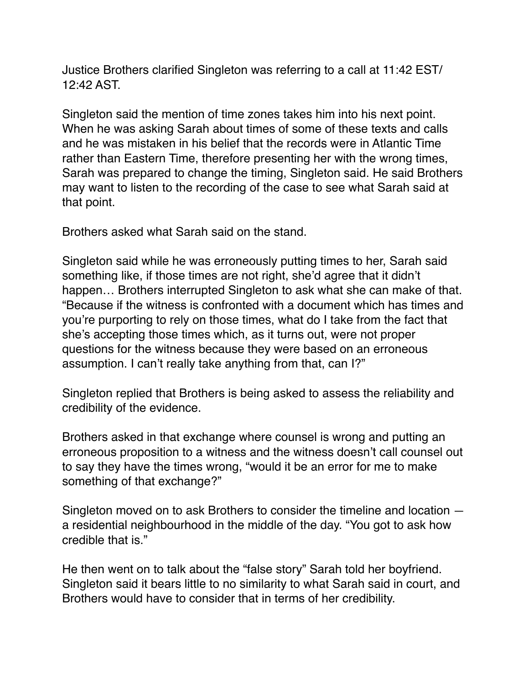Justice Brothers clarified Singleton was referring to a call at 11:42 EST/ 12:42 AST.

Singleton said the mention of time zones takes him into his next point. When he was asking Sarah about times of some of these texts and calls and he was mistaken in his belief that the records were in Atlantic Time rather than Eastern Time, therefore presenting her with the wrong times, Sarah was prepared to change the timing, Singleton said. He said Brothers may want to listen to the recording of the case to see what Sarah said at that point.

Brothers asked what Sarah said on the stand.

Singleton said while he was erroneously putting times to her, Sarah said something like, if those times are not right, she'd agree that it didn't happen… Brothers interrupted Singleton to ask what she can make of that. "Because if the witness is confronted with a document which has times and you're purporting to rely on those times, what do I take from the fact that she's accepting those times which, as it turns out, were not proper questions for the witness because they were based on an erroneous assumption. I can't really take anything from that, can I?"

Singleton replied that Brothers is being asked to assess the reliability and credibility of the evidence.

Brothers asked in that exchange where counsel is wrong and putting an erroneous proposition to a witness and the witness doesn't call counsel out to say they have the times wrong, "would it be an error for me to make something of that exchange?"

Singleton moved on to ask Brothers to consider the timeline and location a residential neighbourhood in the middle of the day. "You got to ask how credible that is."

He then went on to talk about the "false story" Sarah told her boyfriend. Singleton said it bears little to no similarity to what Sarah said in court, and Brothers would have to consider that in terms of her credibility.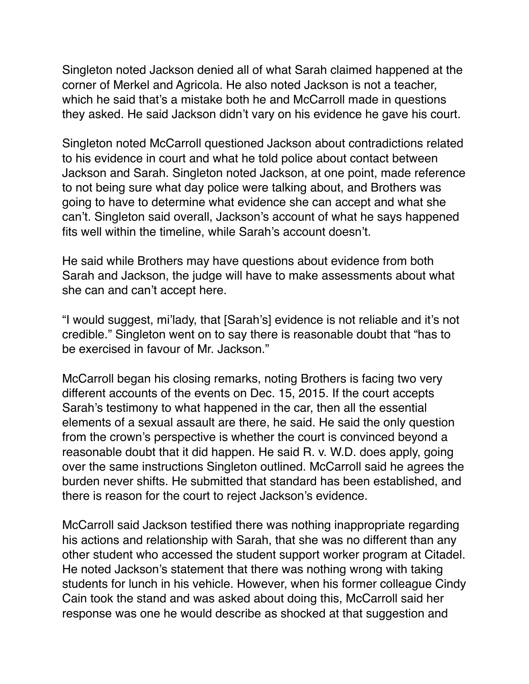Singleton noted Jackson denied all of what Sarah claimed happened at the corner of Merkel and Agricola. He also noted Jackson is not a teacher, which he said that's a mistake both he and McCarroll made in questions they asked. He said Jackson didn't vary on his evidence he gave his court.

Singleton noted McCarroll questioned Jackson about contradictions related to his evidence in court and what he told police about contact between Jackson and Sarah. Singleton noted Jackson, at one point, made reference to not being sure what day police were talking about, and Brothers was going to have to determine what evidence she can accept and what she can't. Singleton said overall, Jackson's account of what he says happened fits well within the timeline, while Sarah's account doesn't.

He said while Brothers may have questions about evidence from both Sarah and Jackson, the judge will have to make assessments about what she can and can't accept here.

"I would suggest, mi'lady, that [Sarah's] evidence is not reliable and it's not credible." Singleton went on to say there is reasonable doubt that "has to be exercised in favour of Mr. Jackson."

McCarroll began his closing remarks, noting Brothers is facing two very different accounts of the events on Dec. 15, 2015. If the court accepts Sarah's testimony to what happened in the car, then all the essential elements of a sexual assault are there, he said. He said the only question from the crown's perspective is whether the court is convinced beyond a reasonable doubt that it did happen. He said R. v. W.D. does apply, going over the same instructions Singleton outlined. McCarroll said he agrees the burden never shifts. He submitted that standard has been established, and there is reason for the court to reject Jackson's evidence.

McCarroll said Jackson testified there was nothing inappropriate regarding his actions and relationship with Sarah, that she was no different than any other student who accessed the student support worker program at Citadel. He noted Jackson's statement that there was nothing wrong with taking students for lunch in his vehicle. However, when his former colleague Cindy Cain took the stand and was asked about doing this, McCarroll said her response was one he would describe as shocked at that suggestion and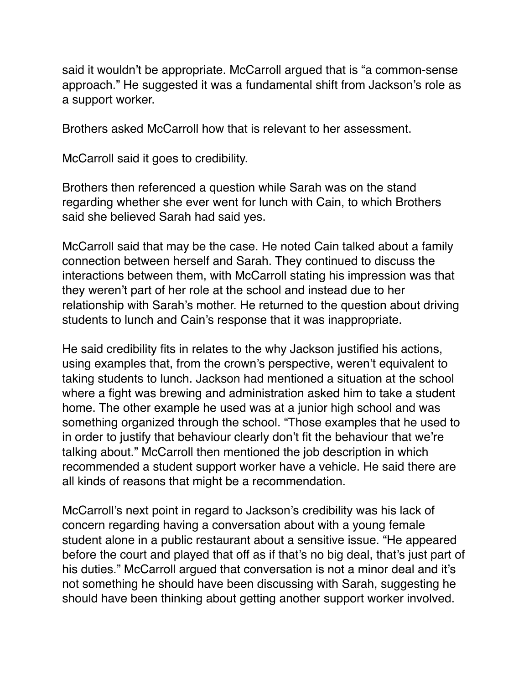said it wouldn't be appropriate. McCarroll argued that is "a common-sense approach." He suggested it was a fundamental shift from Jackson's role as a support worker.

Brothers asked McCarroll how that is relevant to her assessment.

McCarroll said it goes to credibility.

Brothers then referenced a question while Sarah was on the stand regarding whether she ever went for lunch with Cain, to which Brothers said she believed Sarah had said yes.

McCarroll said that may be the case. He noted Cain talked about a family connection between herself and Sarah. They continued to discuss the interactions between them, with McCarroll stating his impression was that they weren't part of her role at the school and instead due to her relationship with Sarah's mother. He returned to the question about driving students to lunch and Cain's response that it was inappropriate.

He said credibility fits in relates to the why Jackson justified his actions, using examples that, from the crown's perspective, weren't equivalent to taking students to lunch. Jackson had mentioned a situation at the school where a fight was brewing and administration asked him to take a student home. The other example he used was at a junior high school and was something organized through the school. "Those examples that he used to in order to justify that behaviour clearly don't fit the behaviour that we're talking about." McCarroll then mentioned the job description in which recommended a student support worker have a vehicle. He said there are all kinds of reasons that might be a recommendation.

McCarroll's next point in regard to Jackson's credibility was his lack of concern regarding having a conversation about with a young female student alone in a public restaurant about a sensitive issue. "He appeared before the court and played that off as if that's no big deal, that's just part of his duties." McCarroll argued that conversation is not a minor deal and it's not something he should have been discussing with Sarah, suggesting he should have been thinking about getting another support worker involved.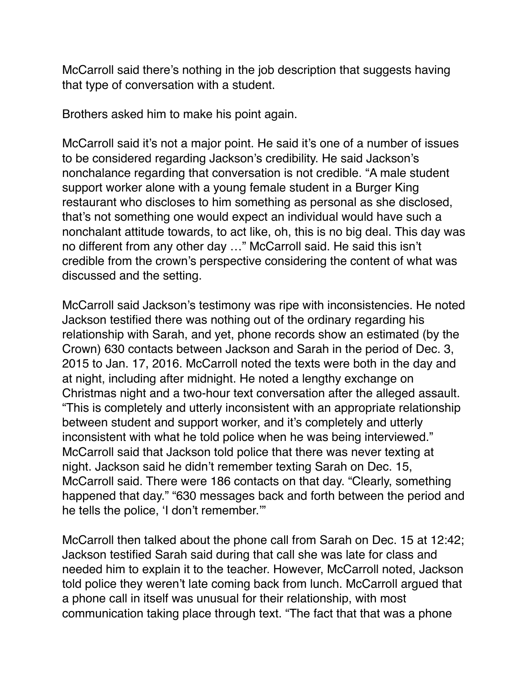McCarroll said there's nothing in the job description that suggests having that type of conversation with a student.

Brothers asked him to make his point again.

McCarroll said it's not a major point. He said it's one of a number of issues to be considered regarding Jackson's credibility. He said Jackson's nonchalance regarding that conversation is not credible. "A male student support worker alone with a young female student in a Burger King restaurant who discloses to him something as personal as she disclosed, that's not something one would expect an individual would have such a nonchalant attitude towards, to act like, oh, this is no big deal. This day was no different from any other day …" McCarroll said. He said this isn't credible from the crown's perspective considering the content of what was discussed and the setting.

McCarroll said Jackson's testimony was ripe with inconsistencies. He noted Jackson testified there was nothing out of the ordinary regarding his relationship with Sarah, and yet, phone records show an estimated (by the Crown) 630 contacts between Jackson and Sarah in the period of Dec. 3, 2015 to Jan. 17, 2016. McCarroll noted the texts were both in the day and at night, including after midnight. He noted a lengthy exchange on Christmas night and a two-hour text conversation after the alleged assault. "This is completely and utterly inconsistent with an appropriate relationship between student and support worker, and it's completely and utterly inconsistent with what he told police when he was being interviewed." McCarroll said that Jackson told police that there was never texting at night. Jackson said he didn't remember texting Sarah on Dec. 15, McCarroll said. There were 186 contacts on that day. "Clearly, something happened that day." "630 messages back and forth between the period and he tells the police, 'I don't remember.'"

McCarroll then talked about the phone call from Sarah on Dec. 15 at 12:42; Jackson testified Sarah said during that call she was late for class and needed him to explain it to the teacher. However, McCarroll noted, Jackson told police they weren't late coming back from lunch. McCarroll argued that a phone call in itself was unusual for their relationship, with most communication taking place through text. "The fact that that was a phone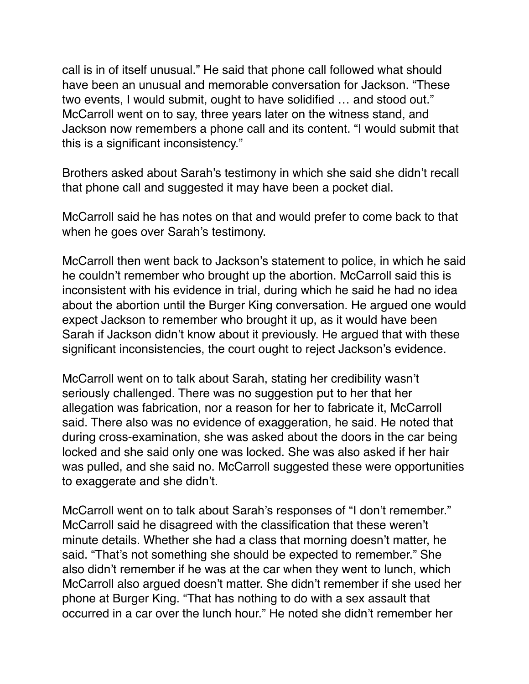call is in of itself unusual." He said that phone call followed what should have been an unusual and memorable conversation for Jackson. "These two events, I would submit, ought to have solidified … and stood out." McCarroll went on to say, three years later on the witness stand, and Jackson now remembers a phone call and its content. "I would submit that this is a significant inconsistency."

Brothers asked about Sarah's testimony in which she said she didn't recall that phone call and suggested it may have been a pocket dial.

McCarroll said he has notes on that and would prefer to come back to that when he goes over Sarah's testimony.

McCarroll then went back to Jackson's statement to police, in which he said he couldn't remember who brought up the abortion. McCarroll said this is inconsistent with his evidence in trial, during which he said he had no idea about the abortion until the Burger King conversation. He argued one would expect Jackson to remember who brought it up, as it would have been Sarah if Jackson didn't know about it previously. He argued that with these significant inconsistencies, the court ought to reject Jackson's evidence.

McCarroll went on to talk about Sarah, stating her credibility wasn't seriously challenged. There was no suggestion put to her that her allegation was fabrication, nor a reason for her to fabricate it, McCarroll said. There also was no evidence of exaggeration, he said. He noted that during cross-examination, she was asked about the doors in the car being locked and she said only one was locked. She was also asked if her hair was pulled, and she said no. McCarroll suggested these were opportunities to exaggerate and she didn't.

McCarroll went on to talk about Sarah's responses of "I don't remember." McCarroll said he disagreed with the classification that these weren't minute details. Whether she had a class that morning doesn't matter, he said. "That's not something she should be expected to remember." She also didn't remember if he was at the car when they went to lunch, which McCarroll also argued doesn't matter. She didn't remember if she used her phone at Burger King. "That has nothing to do with a sex assault that occurred in a car over the lunch hour." He noted she didn't remember her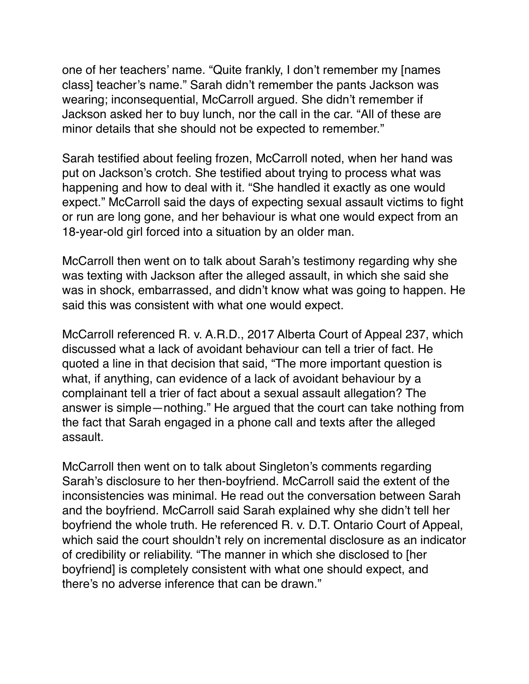one of her teachers' name. "Quite frankly, I don't remember my [names class] teacher's name." Sarah didn't remember the pants Jackson was wearing; inconsequential, McCarroll argued. She didn't remember if Jackson asked her to buy lunch, nor the call in the car. "All of these are minor details that she should not be expected to remember."

Sarah testified about feeling frozen, McCarroll noted, when her hand was put on Jackson's crotch. She testified about trying to process what was happening and how to deal with it. "She handled it exactly as one would expect." McCarroll said the days of expecting sexual assault victims to fight or run are long gone, and her behaviour is what one would expect from an 18-year-old girl forced into a situation by an older man.

McCarroll then went on to talk about Sarah's testimony regarding why she was texting with Jackson after the alleged assault, in which she said she was in shock, embarrassed, and didn't know what was going to happen. He said this was consistent with what one would expect.

McCarroll referenced R. v. A.R.D., 2017 Alberta Court of Appeal 237, which discussed what a lack of avoidant behaviour can tell a trier of fact. He quoted a line in that decision that said, "The more important question is what, if anything, can evidence of a lack of avoidant behaviour by a complainant tell a trier of fact about a sexual assault allegation? The answer is simple—nothing." He argued that the court can take nothing from the fact that Sarah engaged in a phone call and texts after the alleged assault.

McCarroll then went on to talk about Singleton's comments regarding Sarah's disclosure to her then-boyfriend. McCarroll said the extent of the inconsistencies was minimal. He read out the conversation between Sarah and the boyfriend. McCarroll said Sarah explained why she didn't tell her boyfriend the whole truth. He referenced R. v. D.T. Ontario Court of Appeal, which said the court shouldn't rely on incremental disclosure as an indicator of credibility or reliability. "The manner in which she disclosed to [her boyfriend] is completely consistent with what one should expect, and there's no adverse inference that can be drawn."